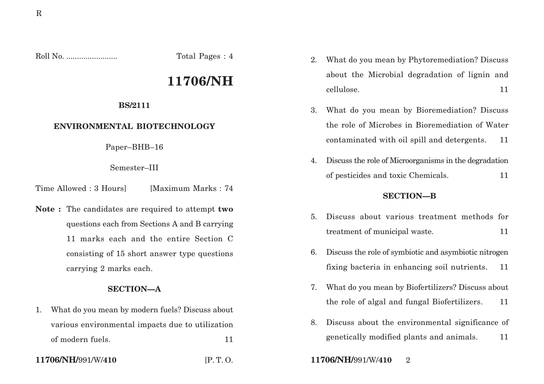Roll No. ........................ Total Pages : 4

# **11706/NH**

#### **BS/2111**

## **ENVIRONMENTAL BIOTECHNOLOGY**

Paper–BHB–16

Semester–III

Time Allowed : 3 Hours [Maximum Marks : 74]

**Note :** The candidates are required to attempt **two** questions each from Sections A and B carrying 11 marks each and the entire Section C consisting of 15 short answer type questions carrying 2 marks each.

## **SECTION—A**

1. What do you mean by modern fuels? Discuss about various environmental impacts due to utilization of modern fuels. 11

2. What do you mean by Phytoremediation? Discuss about the Microbial degradation of lignin and cellulose. 11

- 3. What do you mean by Bioremediation? Discuss the role of Microbes in Bioremediation of Water contaminated with oil spill and detergents. 11
- 4. Discuss the role of Microorganisms in the degradation of pesticides and toxic Chemicals. 11

## **SECTION—B**

- 5. Discuss about various treatment methods for treatment of municipal waste. 11
- 6. Discuss the role of symbiotic and asymbiotic nitrogen fixing bacteria in enhancing soil nutrients. 11
- 7. What do you mean by Biofertilizers? Discuss about the role of algal and fungal Biofertilizers. 11
- 8. Discuss about the environmental significance of genetically modified plants and animals. 11
- **11706/NH/**991/W/**410** [P. T. O. **11706/NH/**991/W/**410** 2